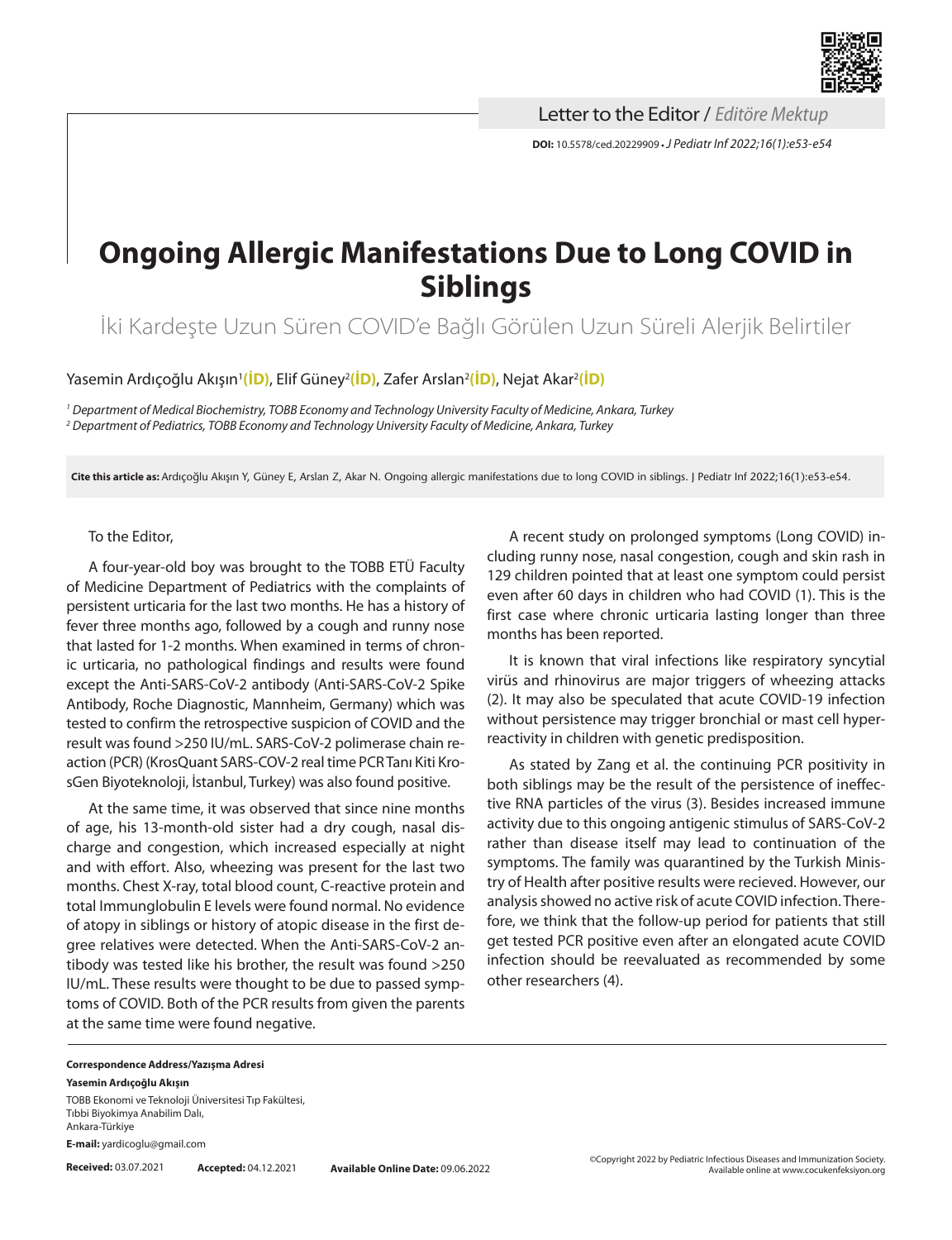

**DOI:** 10.5578/ced.20229909 **•***J Pediatr Inf 2022;16(1):e53-e54* Letter to the Editor / *Editöre Mektup*

## **Ongoing Allergic Manifestations Due to Long COVID in Siblings**

İki Kardeşte Uzun Süren COVID'e Bağlı Görülen Uzun Süreli Alerjik Belirtiler

Yasemin Ardıçoğlu Akışın<sup>ı</sup>[\(İD\)](https://orcid.org/0000-0001-8228-8885), Elif Güney<sup>2</sup>(İD), Zafer Arslan<sup>2</sup>(İD), Nejat Akar<sup>2</sup>(İD)

*1 Department of Medical Biochemistry, TOBB Economy and Technology University Faculty of Medicine, Ankara, Turkey 2 Department of Pediatrics, TOBB Economy and Technology University Faculty of Medicine, Ankara, Turkey*

**Cite this article as:** Ardıçoğlu Akışın Y, Güney E, Arslan Z, Akar N. Ongoing allergic manifestations due to long COVID in siblings. J Pediatr Inf 2022;16(1):e53-e54.

## To the Editor,

A four-year-old boy was brought to the TOBB ETÜ Faculty of Medicine Department of Pediatrics with the complaints of persistent urticaria for the last two months. He has a history of fever three months ago, followed by a cough and runny nose that lasted for 1-2 months. When examined in terms of chronic urticaria, no pathological findings and results were found except the Anti-SARS-CoV-2 antibody (Anti-SARS-CoV-2 Spike Antibody, Roche Diagnostic, Mannheim, Germany) which was tested to confirm the retrospective suspicion of COVID and the result was found >250 IU/mL. SARS-CoV-2 polimerase chain reaction (PCR) (KrosQuant SARS-COV-2 real time PCR Tanı Kiti KrosGen Biyoteknoloji, İstanbul, Turkey) was also found positive.

At the same time, it was observed that since nine months of age, his 13-month-old sister had a dry cough, nasal discharge and congestion, which increased especially at night and with effort. Also, wheezing was present for the last two months. Chest X-ray, total blood count, C-reactive protein and total Immunglobulin E levels were found normal. No evidence of atopy in siblings or history of atopic disease in the first degree relatives were detected. When the Anti-SARS-CoV-2 antibody was tested like his brother, the result was found >250 IU/mL. These results were thought to be due to passed symptoms of COVID. Both of the PCR results from given the parents at the same time were found negative.

A recent study on prolonged symptoms (Long COVID) including runny nose, nasal congestion, cough and skin rash in 129 children pointed that at least one symptom could persist even after 60 days in children who had COVID (1). This is the first case where chronic urticaria lasting longer than three months has been reported.

It is known that viral infections like respiratory syncytial virüs and rhinovirus are major triggers of wheezing attacks (2). It may also be speculated that acute COVID-19 infection without persistence may trigger bronchial or mast cell hyperreactivity in children with genetic predisposition.

As stated by Zang et al. the continuing PCR positivity in both siblings may be the result of the persistence of ineffective RNA particles of the virus (3). Besides increased immune activity due to this ongoing antigenic stimulus of SARS-CoV-2 rather than disease itself may lead to continuation of the symptoms. The family was quarantined by the Turkish Ministry of Health after positive results were recieved. However, our analysis showed no active risk of acute COVID infection. Therefore, we think that the follow-up period for patients that still get tested PCR positive even after an elongated acute COVID infection should be reevaluated as recommended by some other researchers (4).

## **Correspondence Address/Yazışma Adresi Yasemin Ardıçoğlu Akışın**

TOBB Ekonomi ve Teknoloji Üniversitesi Tıp Fakültesi, Tıbbi Biyokimya Anabilim Dalı, Ankara-Türkiye

**E-mail:** [yardicoglu@gmail.com](mailto:yardicoglu@gmail.com)

**Received:** 03.07.2021 **Accepted:** 04.12.2021